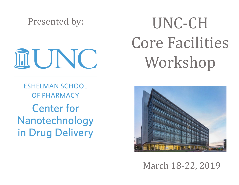Presented by:

II UNC

**ESHELMAN SCHOOL OF PHARMACY Center for** Nanotechnology in Drug Delivery

# UNC-CH Core Facilities Workshop



March 18-22, 2019